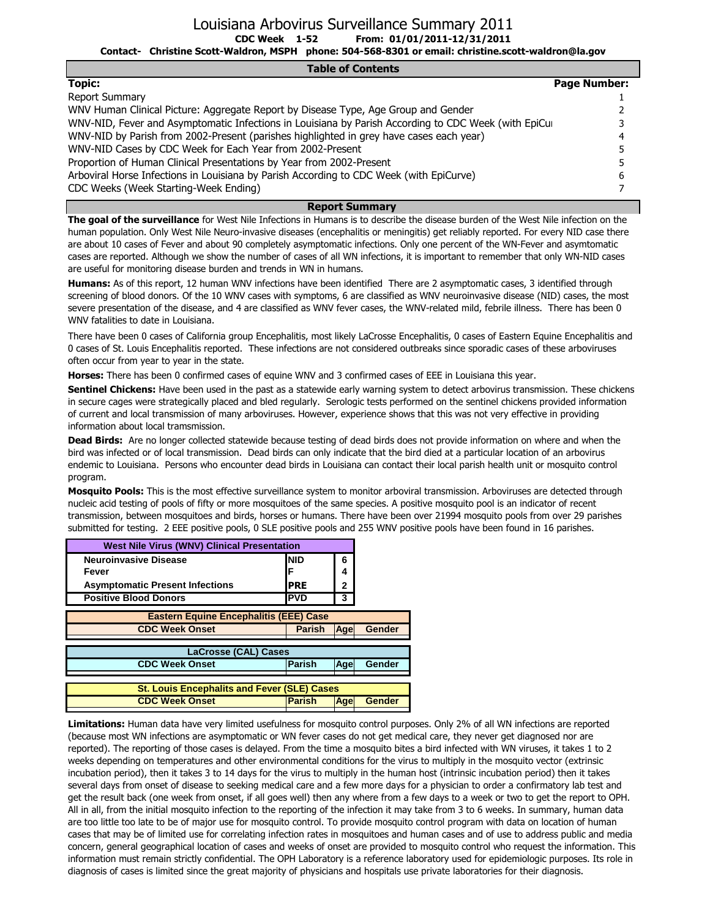| <b>Table of Contents</b>                                                                             |                     |
|------------------------------------------------------------------------------------------------------|---------------------|
| <b>Topic:</b>                                                                                        | <b>Page Number:</b> |
| <b>Report Summary</b>                                                                                |                     |
| WNV Human Clinical Picture: Aggregate Report by Disease Type, Age Group and Gender                   |                     |
| WNV-NID, Fever and Asymptomatic Infections in Louisiana by Parish According to CDC Week (with EpiCur |                     |
| WNV-NID by Parish from 2002-Present (parishes highlighted in grey have cases each year)              |                     |
| WNV-NID Cases by CDC Week for Each Year from 2002-Present                                            |                     |
| Proportion of Human Clinical Presentations by Year from 2002-Present                                 |                     |
| Arboviral Horse Infections in Louisiana by Parish According to CDC Week (with EpiCurve)              |                     |

CDC Weeks (Week Starting-Week Ending)

#### **Report Summary**

7

**The goal of the surveillance** for West Nile Infections in Humans is to describe the disease burden of the West Nile infection on the human population. Only West Nile Neuro-invasive diseases (encephalitis or meningitis) get reliably reported. For every NID case there are about 10 cases of Fever and about 90 completely asymptomatic infections. Only one percent of the WN-Fever and asymtomatic cases are reported. Although we show the number of cases of all WN infections, it is important to remember that only WN-NID cases are useful for monitoring disease burden and trends in WN in humans.

**Humans:** As of this report, 12 human WNV infections have been identified There are 2 asymptomatic cases, 3 identified through screening of blood donors. Of the 10 WNV cases with symptoms, 6 are classified as WNV neuroinvasive disease (NID) cases, the most severe presentation of the disease, and 4 are classified as WNV fever cases, the WNV-related mild, febrile illness. There has been 0 WNV fatalities to date in Louisiana.

There have been 0 cases of California group Encephalitis, most likely LaCrosse Encephalitis, 0 cases of Eastern Equine Encephalitis and 0 cases of St. Louis Encephalitis reported. These infections are not considered outbreaks since sporadic cases of these arboviruses often occur from year to year in the state.

**Horses:** There has been 0 confirmed cases of equine WNV and 3 confirmed cases of EEE in Louisiana this year.

**Sentinel Chickens:** Have been used in the past as a statewide early warning system to detect arbovirus transmission. These chickens in secure cages were strategically placed and bled regularly. Serologic tests performed on the sentinel chickens provided information of current and local transmission of many arboviruses. However, experience shows that this was not very effective in providing information about local tramsmission.

**Dead Birds:** Are no longer collected statewide because testing of dead birds does not provide information on where and when the bird was infected or of local transmission. Dead birds can only indicate that the bird died at a particular location of an arbovirus endemic to Louisiana. Persons who encounter dead birds in Louisiana can contact their local parish health unit or mosquito control program.

**Mosquito Pools:** This is the most effective surveillance system to monitor arboviral transmission. Arboviruses are detected through nucleic acid testing of pools of fifty or more mosquitoes of the same species. A positive mosquito pool is an indicator of recent transmission, between mosquitoes and birds, horses or humans. There have been over 21994 mosquito pools from over 29 parishes submitted for testing. 2 EEE positive pools, 0 SLE positive pools and 255 WNV positive pools have been found in 16 parishes.

| <b>West Nile Virus (WNV) Clinical Presentation</b><br><b>Neuroinvasive Disease</b> |                             |               |  |  |  |  |  |  |  |  |  |
|------------------------------------------------------------------------------------|-----------------------------|---------------|--|--|--|--|--|--|--|--|--|
| <b>NID</b>                                                                         | 6                           |               |  |  |  |  |  |  |  |  |  |
| F                                                                                  | 4                           |               |  |  |  |  |  |  |  |  |  |
| <b>PRE</b>                                                                         | 2                           |               |  |  |  |  |  |  |  |  |  |
| <b>PVD</b>                                                                         | 3                           |               |  |  |  |  |  |  |  |  |  |
| <b>Eastern Equine Encephalitis (EEE) Case</b>                                      |                             |               |  |  |  |  |  |  |  |  |  |
| <b>Parish</b>                                                                      | <b>Age</b>                  | <b>Gender</b> |  |  |  |  |  |  |  |  |  |
|                                                                                    |                             |               |  |  |  |  |  |  |  |  |  |
|                                                                                    |                             |               |  |  |  |  |  |  |  |  |  |
| <b>Parish</b>                                                                      | Age                         | <b>Gender</b> |  |  |  |  |  |  |  |  |  |
|                                                                                    |                             |               |  |  |  |  |  |  |  |  |  |
| <b>St. Louis Encephalits and Fever (SLE) Cases</b>                                 |                             |               |  |  |  |  |  |  |  |  |  |
| <b>Parish</b>                                                                      | Age                         | <b>Gender</b> |  |  |  |  |  |  |  |  |  |
|                                                                                    | <b>LaCrosse (CAL) Cases</b> |               |  |  |  |  |  |  |  |  |  |

**Limitations:** Human data have very limited usefulness for mosquito control purposes. Only 2% of all WN infections are reported (because most WN infections are asymptomatic or WN fever cases do not get medical care, they never get diagnosed nor are reported). The reporting of those cases is delayed. From the time a mosquito bites a bird infected with WN viruses, it takes 1 to 2 weeks depending on temperatures and other environmental conditions for the virus to multiply in the mosquito vector (extrinsic incubation period), then it takes 3 to 14 days for the virus to multiply in the human host (intrinsic incubation period) then it takes several days from onset of disease to seeking medical care and a few more days for a physician to order a confirmatory lab test and get the result back (one week from onset, if all goes well) then any where from a few days to a week or two to get the report to OPH. All in all, from the initial mosquito infection to the reporting of the infection it may take from 3 to 6 weeks. In summary, human data are too little too late to be of major use for mosquito control. To provide mosquito control program with data on location of human cases that may be of limited use for correlating infection rates in mosquitoes and human cases and of use to address public and media concern, general geographical location of cases and weeks of onset are provided to mosquito control who request the information. This information must remain strictly confidential. The OPH Laboratory is a reference laboratory used for epidemiologic purposes. Its role in diagnosis of cases is limited since the great majority of physicians and hospitals use private laboratories for their diagnosis.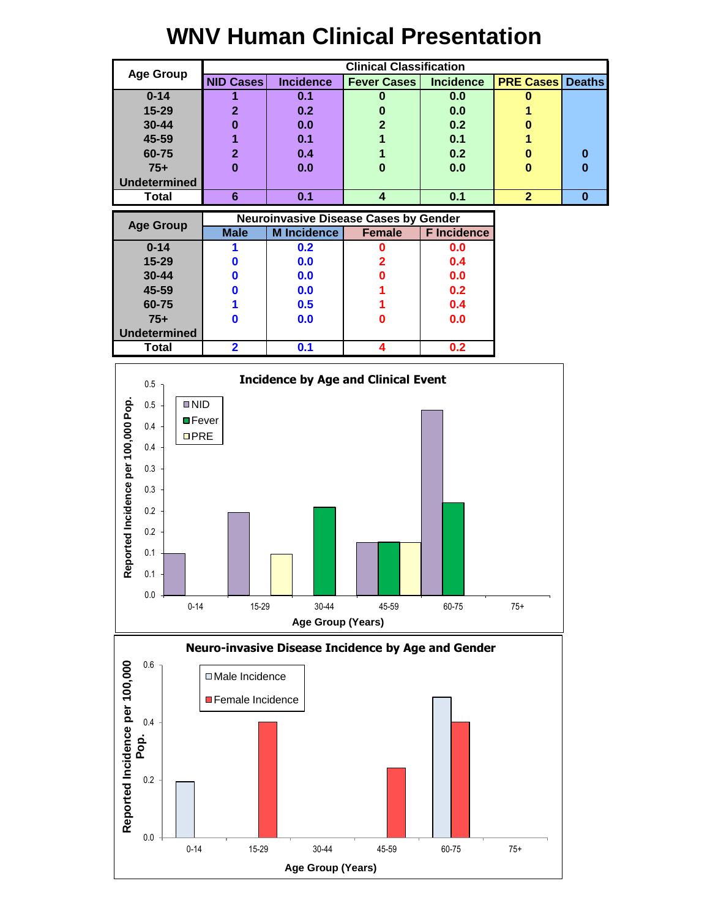## **WNV Human Clinical Presentation**

|                     |                  |                  | <b>Clinical Classification</b> |                  |                         |   |
|---------------------|------------------|------------------|--------------------------------|------------------|-------------------------|---|
| <b>Age Group</b>    | <b>NID Cases</b> | <b>Incidence</b> | <b>Fever Cases</b>             | <b>Incidence</b> | <b>PRE Cases Deaths</b> |   |
| $0 - 14$            |                  | 0.1              |                                | 0.0              |                         |   |
| $15 - 29$           | $\mathbf 2$      | 0.2              |                                | 0.0              |                         |   |
| 30-44               | 0                | 0.0              | າ                              | 0.2              | 0                       |   |
| 45-59               |                  | 0.1              |                                | 0.1              |                         |   |
| 60-75               | $\mathbf{2}$     | 0.4              |                                | 0.2              | 0                       | 0 |
| $75+$               | 0                | 0.0              | 0                              | 0.0              | 0                       | 0 |
| <b>Undetermined</b> |                  |                  |                                |                  |                         |   |
| Total               | 6                | 0.1              |                                | 0.1              | $\overline{2}$          | O |

| <b>Age Group</b>    |             | <b>Neuroinvasive Disease Cases by Gender</b> |               |                    |
|---------------------|-------------|----------------------------------------------|---------------|--------------------|
|                     | <b>Male</b> | <b>M</b> Incidence                           | <b>Female</b> | <b>F</b> Incidence |
| $0 - 14$            |             | 0.2                                          |               | 0.0                |
| $15 - 29$           |             | 0.0                                          |               | 0.4                |
| 30-44               |             | 0.0                                          |               | 0.0                |
| 45-59               |             | 0.0                                          |               | 0.2                |
| 60-75               |             | 0.5                                          |               | 0.4                |
| $75+$               |             | 0.0                                          |               | 0.0                |
| <b>Undetermined</b> |             |                                              |               |                    |
| Total               | 2           | 0.1                                          |               | 0.2                |



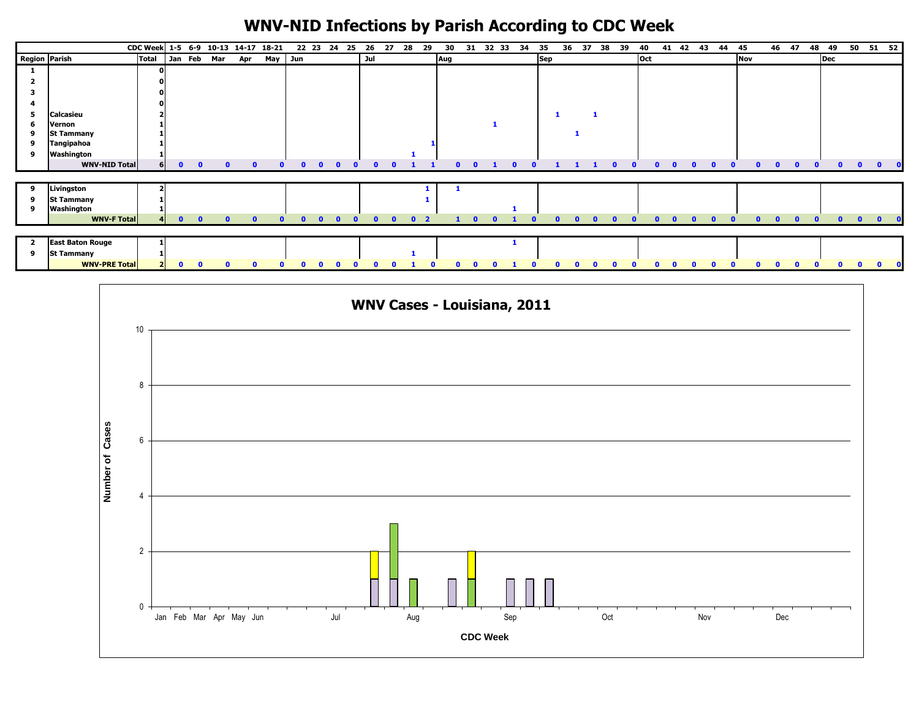# **WNV-NID Infections by Parish According to CDC Week**

|                         |                         | CDC Week 1-5 6-9 10-13 14-17 18-21 |                    |                           |     |            |           | 22 23 24     | 25       | 26           | 27           | 28             | 29 | 30  | 31 | 32 33 | 34 | 35         | 36 | 37 | 38<br>39 | 40         | 42<br>41     | 43 | 44 | 45  |              | 46 47    | 48 | 49  |                           | 50 51 52     |  |
|-------------------------|-------------------------|------------------------------------|--------------------|---------------------------|-----|------------|-----------|--------------|----------|--------------|--------------|----------------|----|-----|----|-------|----|------------|----|----|----------|------------|--------------|----|----|-----|--------------|----------|----|-----|---------------------------|--------------|--|
| Region Parish           |                         | Total Jan Feb Mar                  |                    |                           | Apr |            | May Jun   |              |          | Jul          |              |                |    | Aug |    |       |    | <b>Sep</b> |    |    |          | <b>Oct</b> |              |    |    | Nov |              |          |    | Dec |                           |              |  |
|                         |                         |                                    |                    |                           |     |            |           |              |          |              |              |                |    |     |    |       |    |            |    |    |          |            |              |    |    |     |              |          |    |     |                           |              |  |
|                         |                         |                                    |                    |                           |     |            |           |              |          |              |              |                |    |     |    |       |    |            |    |    |          |            |              |    |    |     |              |          |    |     |                           |              |  |
|                         |                         |                                    |                    |                           |     |            |           |              |          |              |              |                |    |     |    |       |    |            |    |    |          |            |              |    |    |     |              |          |    |     |                           |              |  |
|                         |                         |                                    |                    |                           |     |            |           |              |          |              |              |                |    |     |    |       |    |            |    |    |          |            |              |    |    |     |              |          |    |     |                           |              |  |
| 5                       | <b>Calcasieu</b>        |                                    |                    |                           |     |            |           |              |          |              |              |                |    |     |    |       |    |            |    |    |          |            |              |    |    |     |              |          |    |     |                           |              |  |
| 6                       | Vernon                  |                                    |                    |                           |     |            |           |              |          |              |              |                |    |     |    |       |    |            |    |    |          |            |              |    |    |     |              |          |    |     |                           |              |  |
| 9                       | <b>St Tammany</b>       |                                    |                    |                           |     |            |           |              |          |              |              |                |    |     |    |       |    |            |    |    |          |            |              |    |    |     |              |          |    |     |                           |              |  |
| 9                       | Tangipahoa              |                                    |                    |                           |     |            |           |              |          |              |              |                |    |     |    |       |    |            |    |    |          |            |              |    |    |     |              |          |    |     |                           |              |  |
| 9                       | Washington              |                                    |                    |                           |     |            |           |              |          |              |              |                |    |     |    |       |    |            |    |    |          |            |              |    |    |     |              |          |    |     |                           |              |  |
|                         | <b>WNV-NID Total</b>    |                                    | 6 I<br>$\mathbf 0$ | $\mathbf 0$               |     |            |           |              |          |              |              |                |    |     |    |       |    |            |    |    |          |            |              |    |    |     |              |          |    |     |                           | $\mathbf{0}$ |  |
|                         |                         |                                    |                    |                           |     |            |           |              |          |              |              |                |    |     |    |       |    |            |    |    |          |            |              |    |    |     |              |          |    |     |                           |              |  |
| 9                       | Livingston              |                                    |                    |                           |     |            |           |              |          |              |              |                |    |     |    |       |    |            |    |    |          |            |              |    |    |     |              |          |    |     |                           |              |  |
| 9                       | <b>St Tammany</b>       |                                    |                    |                           |     |            |           |              |          |              |              |                |    |     |    |       |    |            |    |    |          |            |              |    |    |     |              |          |    |     |                           |              |  |
| 9                       | Washington              |                                    |                    |                           |     |            |           |              |          |              |              |                |    |     |    |       |    |            |    |    |          |            |              |    |    |     |              |          |    |     |                           |              |  |
|                         | <b>WNV-F Total</b>      |                                    |                    | $\bullet$<br>$\mathbf{0}$ |     | $\sqrt{2}$ | $\bullet$ | $\mathbf{0}$ | $\Omega$ | $\mathbf{a}$ | $\mathbf{a}$ | 0 <sub>2</sub> |    |     |    |       | n  |            | ∩  |    |          | n.         | $\mathbf{0}$ |    |    |     | $\mathbf{0}$ | $\Omega$ |    |     | $\mathbf{a}$<br>$\bullet$ | $\bullet$    |  |
|                         |                         |                                    |                    |                           |     |            |           |              |          |              |              |                |    |     |    |       |    |            |    |    |          |            |              |    |    |     |              |          |    |     |                           |              |  |
| $\overline{\mathbf{2}}$ | <b>East Baton Rouge</b> |                                    |                    |                           |     |            |           |              |          |              |              |                |    |     |    |       |    |            |    |    |          |            |              |    |    |     |              |          |    |     |                           |              |  |
| 9                       | <b>St Tammany</b>       |                                    |                    |                           |     |            |           |              |          |              |              |                |    |     |    |       |    |            |    |    |          |            |              |    |    |     |              |          |    |     |                           |              |  |
|                         | <b>WNV-PRE Total</b>    |                                    | $\mathbf{a}$       |                           |     |            |           |              |          |              |              |                |    |     |    |       |    |            |    |    |          |            |              |    |    |     |              |          |    |     |                           |              |  |

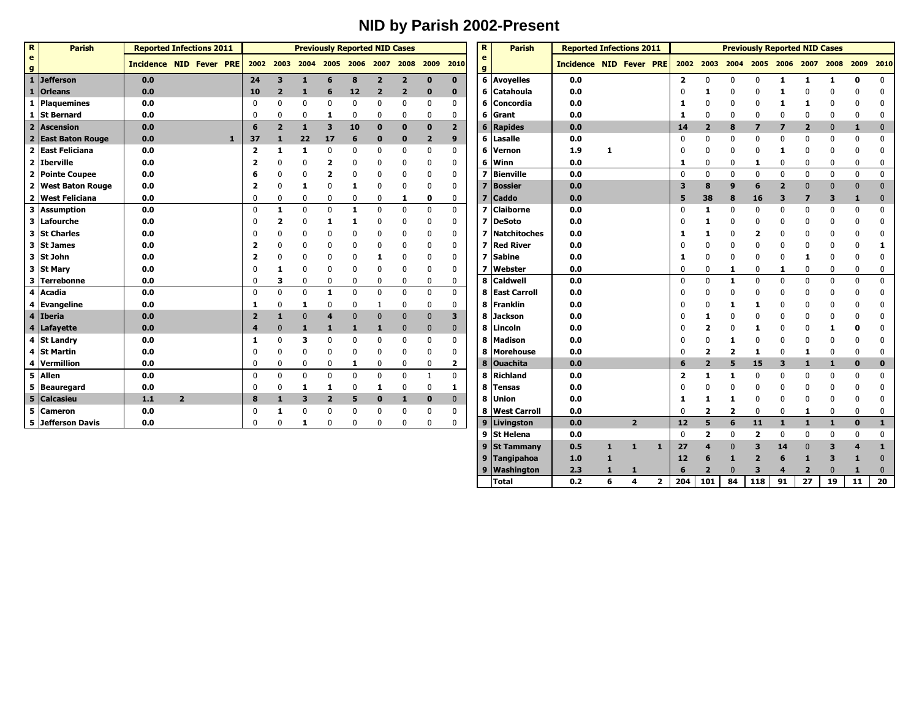## **NID by Parish 2002-Present**

| $\mathbf R$                    | <b>Parish</b>      | <b>Reported Infections 2011</b> |                |              |                         |                         |              | <b>Previously Reported NID Cases</b> |              |                         |                |                                         |                         | R                            | <b>Parish</b>    | <b>Reported Infections 2011</b><br>Incidence NID Fever PRE |   |                |              |                         |                         | <b>Previously Reported NID Cases</b> |                         |                         |                |                |              |              |
|--------------------------------|--------------------|---------------------------------|----------------|--------------|-------------------------|-------------------------|--------------|--------------------------------------|--------------|-------------------------|----------------|-----------------------------------------|-------------------------|------------------------------|------------------|------------------------------------------------------------|---|----------------|--------------|-------------------------|-------------------------|--------------------------------------|-------------------------|-------------------------|----------------|----------------|--------------|--------------|
| $\mathbf{e}$<br>$\overline{g}$ |                    | <b>Incidence NID Fever PRE</b>  |                |              |                         |                         |              |                                      |              |                         |                | 2002 2003 2004 2005 2006 2007 2008 2009 | 2010                    | $\mathbf{e}$<br>$\mathbf{g}$ |                  |                                                            |   |                |              |                         | 2002 2003 2004          |                                      |                         | 2005 2006 2007          |                | 2008           | 2009 2010    |              |
| $\mathbf{1}$                   | <b>Jefferson</b>   | 0.0                             |                |              | 24                      | 3                       | 1            | 6                                    | 8            | $\overline{2}$          | $\overline{2}$ | $\bf{0}$                                | $\mathbf 0$             |                              | 6 Avoyelles      | 0.0                                                        |   |                |              | $\overline{2}$          | 0                       | 0                                    | 0                       | 1                       | 1              | 1              | 0            | $\mathbf{0}$ |
|                                | 1 Orleans          | 0.0                             |                |              | 10                      | $\overline{\mathbf{2}}$ |              | 6                                    | 12           | $\overline{\mathbf{2}}$ | $\overline{2}$ | $\bf{0}$                                | $\mathbf 0$             |                              | 6 Catahoula      | 0.0                                                        |   |                |              |                         |                         |                                      |                         |                         |                |                |              |              |
|                                | 1 Plaquemines      | 0.0                             |                |              |                         | 0                       | 0            | $\mathbf{0}$                         | $\mathbf 0$  |                         | 0              | $\Omega$                                | 0                       |                              | 6 Concordia      | $0.0\,$                                                    |   |                |              |                         |                         |                                      |                         |                         |                |                |              |              |
|                                | 1 St Bernard       | 0.0                             |                |              | 0                       | 0                       | 0            | 1                                    | 0            | $\mathbf{0}$            | 0              | $\Omega$                                | 0                       |                              | 6 Grant          | 0.0                                                        |   |                |              | 1                       | 0                       |                                      |                         |                         | $\Omega$       |                |              |              |
| $\overline{2}$                 | <b>Ascension</b>   | 0.0                             |                |              | 6                       | $\overline{2}$          | $\mathbf{1}$ | $\overline{\mathbf{3}}$              | 10           | $\Omega$                | $\bf{0}$       | $\mathbf{0}$                            | $\overline{2}$          |                              | $6$ Rapides      | 0.0                                                        |   |                |              | 14                      | $\overline{2}$          | 8                                    | $\overline{\mathbf{z}}$ | $\overline{\mathbf{z}}$ | $\overline{2}$ | $\overline{0}$ | 1            | $\mathbf{0}$ |
|                                | 2 East Baton Rouge | 0.0                             |                | $\mathbf{1}$ | 37                      |                         | 22           | 17                                   | 6            |                         | $\bf{0}$       | $\overline{2}$                          | 9                       |                              | 6 Lasalle        | 0.0                                                        |   |                |              | $\Omega$                | 0                       |                                      | 0                       | O                       | $\Omega$       | $\Omega$       |              | 0            |
|                                | 2 East Feliciana   | 0.0                             |                |              | $\overline{\mathbf{2}}$ |                         |              | $\Omega$                             | $\Omega$     |                         | 0              | $\Omega$                                | 0                       |                              | 6 Vernon         | 1.9                                                        | 1 |                |              |                         |                         | ŋ                                    | 0                       |                         | $\Omega$       |                |              | $\mathbf{0}$ |
|                                | $2$ Iberville      | 0.0                             |                |              |                         |                         |              | $\overline{\mathbf{2}}$              | 0            |                         | 0              | $\Omega$                                | 0                       |                              | 6 Winn           | 0.0                                                        |   |                |              | 1                       | 0                       | $\mathbf{0}$                         | 1                       | 0                       | 0              | 0              |              | 0            |
|                                | 2 Pointe Coupee    | 0.0                             |                |              | 6                       |                         |              |                                      |              |                         | 0              |                                         | $\mathbf{0}$            |                              | 7 Bienville      | 0.0                                                        |   |                |              | $\mathbf{0}$            | $\mathbf{0}$            | $\Omega$                             | $\mathbf 0$             | $\Omega$                | $\mathbf{0}$   | $\mathbf 0$    | $\mathbf{0}$ | 0            |
|                                | 2 West Baton Rouge | 0.0                             |                |              | 2                       |                         |              | $\Omega$                             |              |                         |                |                                         | 0                       |                              | Bossier          | 0.0                                                        |   |                |              | $\overline{\mathbf{3}}$ | 8                       | q                                    | 6                       |                         | $\Omega$       |                |              | $\Omega$     |
|                                | 2 West Feliciana   | 0.0                             |                |              | $\Omega$                | 0                       | $\mathbf 0$  | $\mathbf 0$                          | $\mathbf{0}$ | $\Omega$                | 1              | $\mathbf 0$                             | 0                       |                              | <b>Caddo</b>     | 0.0                                                        |   |                |              | 5                       | 38                      | 8                                    | 16                      | 3                       |                | ٦              |              | $\mathbf{0}$ |
|                                | 3 Assumption       | 0.0                             |                |              | $\mathbf 0$             | 1                       | $\pmb{0}$    | $\mathbf 0$                          | -1           | $\Omega$                | 0              | $\mathbf{0}$                            | $\mathbf 0$             |                              | <b>Claiborne</b> | 0.0                                                        |   |                |              | $\Omega$                |                         |                                      | $\Omega$                | $\Omega$                | $\Omega$       | $\mathbf 0$    |              | $\mathbf{0}$ |
|                                | 3 Lafourche        | 0.0                             |                |              |                         |                         |              |                                      |              |                         |                |                                         | 0                       |                              | 7 DeSoto         | 0.0                                                        |   |                |              |                         |                         |                                      |                         |                         | $\Omega$       |                |              |              |
|                                | 3 St Charles       | 0.0                             |                |              |                         |                         |              |                                      |              |                         |                |                                         | $\mathbf{0}$            |                              | 7 Natchitoches   | 0.0                                                        |   |                |              | 1                       |                         |                                      |                         |                         |                |                |              |              |
|                                | 3 St James         | 0.0                             |                |              |                         |                         |              |                                      |              |                         |                |                                         | 0                       |                              | <b>Red River</b> | 0.0                                                        |   |                |              |                         |                         |                                      |                         |                         |                |                |              |              |
|                                | 3 St John          | 0.0                             |                |              |                         |                         |              |                                      |              |                         |                |                                         | 0                       |                              | <b>Sabine</b>    | 0.0                                                        |   |                |              | 1                       |                         |                                      |                         |                         |                |                |              |              |
|                                | 3 St Mary          | 0.0                             |                |              |                         |                         |              | $\mathbf{0}$                         | 0            |                         | 0              |                                         | 0                       |                              | <b>Webster</b>   | 0.0                                                        |   |                |              |                         | 0                       | 1                                    | 0                       | 1                       | $\Omega$       | 0              |              | $\mathbf{0}$ |
|                                | 3 Terrebonne       | 0.0                             |                |              |                         | з                       | 0            | $\mathbf{0}$                         | 0            | $\mathbf{0}$            | 0              | $\Omega$                                | 0                       |                              | 8 Caldwell       | 0.0                                                        |   |                |              | $\Omega$                | 0                       | 1                                    | $\mathbf{0}$            | $\mathbf{0}$            | $\mathbf{0}$   | $\mathbf 0$    | $\Omega$     | $\mathbf{0}$ |
|                                | 4 Acadia           | 0.0                             |                |              | $\mathbf 0$             | $\mathbf 0$             | $\mathbf{0}$ | 1                                    | $\Omega$     | $\Omega$                | 0              | $\Omega$                                | 0                       |                              | 8 East Carroll   | 0.0                                                        |   |                |              |                         |                         |                                      |                         |                         | 0              |                |              |              |
|                                | 4 Evangeline       | 0.0                             |                |              | 1                       |                         |              | $\mathbf{0}$                         | $\Omega$     |                         | 0              | $\Omega$                                | 0                       |                              | 8 Franklin       | 0.0                                                        |   |                |              |                         |                         |                                      |                         |                         | $\Omega$       |                |              |              |
|                                | 4 Iberia           | 0.0                             |                |              |                         |                         |              | 4                                    |              |                         |                |                                         | 3                       |                              | 8 Jackson        | 0.0                                                        |   |                |              |                         |                         |                                      |                         |                         |                |                |              |              |
|                                | 4 Lafayette        | 0.0                             |                |              |                         |                         |              |                                      |              |                         | $\bf{0}$       | 0                                       | $\bf{0}$                |                              | 8 Lincoln        | 0.0                                                        |   |                |              |                         |                         |                                      |                         |                         | 0              |                |              |              |
|                                | 4 St Landry        | 0.0                             |                |              |                         |                         | З            | $\mathbf{0}$                         |              |                         | 0              | $\Omega$                                | 0                       |                              | 8 Madison        | 0.0                                                        |   |                |              |                         |                         |                                      |                         |                         |                |                |              |              |
|                                | 4 St Martin        | 0.0                             |                |              |                         | 0                       | $\mathbf{0}$ | 0                                    | 0            | 0                       | 0              | $\Omega$                                | 0                       |                              | 8 Morehouse      | 0.0                                                        |   |                |              |                         | 2                       | $\overline{\mathbf{2}}$              |                         | 0                       |                | 0              |              | 0            |
|                                | 4 Vermillion       | 0.0                             |                |              | $\Omega$                | $\mathbf 0$             | $\mathbf{0}$ | $\mathbf 0$                          | 1            | $\mathbf{0}$            | 0              | $\Omega$                                | $\overline{\mathbf{2}}$ |                              | 8 Ouachita       | 0.0                                                        |   |                |              | 6                       | $\overline{2}$          | 5                                    | 15                      | $\overline{\mathbf{3}}$ | 1              |                |              | $\bf{0}$     |
|                                | 5 Allen            | 0.0                             |                |              | $\mathbf 0$             | 0                       | 0            | $\mathbf 0$                          | $\Omega$     | $\mathbf{0}$            | $\mathbf 0$    |                                         | $\mathbf 0$             |                              | 8 Richland       | 0.0                                                        |   |                |              | 2                       |                         |                                      | 0                       | 0                       | $\Omega$       |                |              |              |
|                                | 5 Beauregard       | 0.0                             |                |              | 0                       | 0                       | 1            | 1                                    | $\Omega$     | 1                       | 0              | $\Omega$                                | 1                       |                              | 8 Tensas         | 0.0                                                        |   |                |              |                         |                         |                                      |                         |                         |                |                |              |              |
| 5                              | Calcasieu          | $1.1$                           | $\overline{2}$ |              | 8                       |                         | 3            | $\overline{2}$                       | 5            | $\bf{0}$                | 1              | $\bf{0}$                                | $\mathbf{0}$            |                              | 8 Union          | 0.0                                                        |   |                |              | -1                      |                         |                                      |                         |                         | $\Omega$       |                |              | 0            |
|                                | 5 Cameron          | 0.0                             |                |              | $\mathbf{0}$            | 1                       | 0            | $\Omega$                             | 0            |                         | 0              | $\Omega$                                | 0                       |                              | 8   West Carroll | 0.0                                                        |   |                |              | $\Omega$                | $\overline{\mathbf{2}}$ | $\overline{\mathbf{2}}$              | $\mathbf{0}$            | 0                       | 1              | 0              |              | 0            |
|                                | 5 Jefferson Davis  | 0.0                             |                |              | 0                       | 0                       | 1            | 0                                    | 0            | $\mathbf{0}$            | 0              | $\Omega$                                | $\mathbf{0}$            |                              | 9   Livingston   | 0.0                                                        |   | $\overline{2}$ |              | 12                      | 5                       | 6                                    | 11                      | $\mathbf{1}$            |                |                | $\Omega$     | $\mathbf{1}$ |
|                                |                    |                                 |                |              |                         |                         |              |                                      |              |                         |                |                                         |                         |                              | 9 St Helena      | 0.0                                                        |   |                |              | $\Omega$                | $\overline{\mathbf{2}}$ |                                      | 2                       | 0                       | $\Omega$       |                |              | 0            |
|                                |                    |                                 |                |              |                         |                         |              |                                      |              |                         |                |                                         |                         |                              | 9 St Tammany     | 0.5                                                        | 1 | 1              | $\mathbf{1}$ | 27                      | 4                       |                                      | З                       | 14                      | $\Omega$       | З              |              | 1            |

 **Tangipahoa 1.0 1 12 6 1 2 6 1 3 1** 0 **Washington 2.3 1 1 6 2** 0 **3 4 2** 0 **1** 0

**Total 0.2 6 4 2 204 101 84 118 91 27 19 11 20**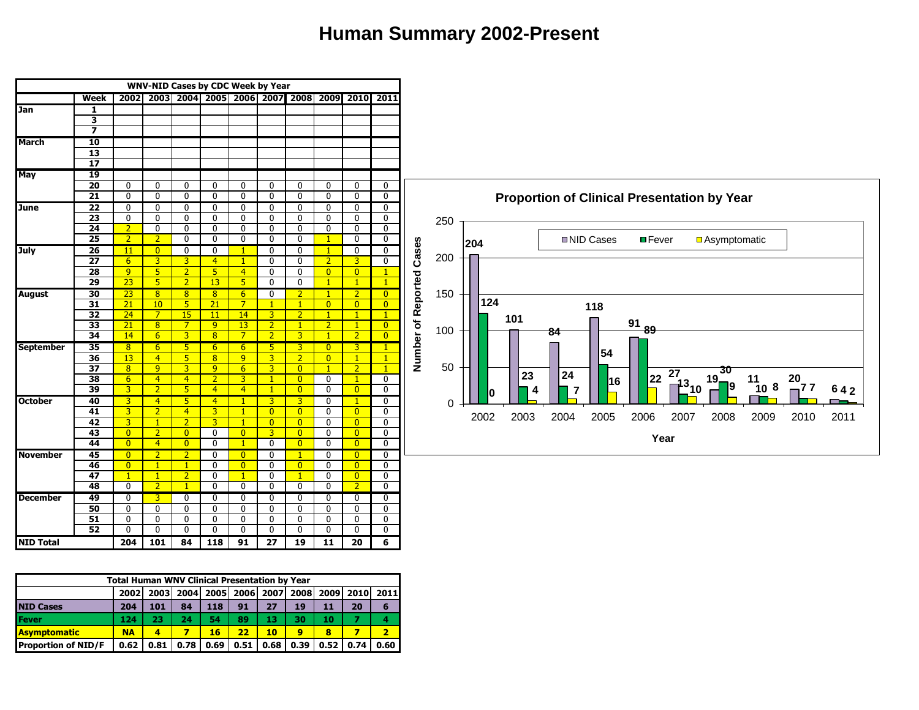#### **Human Summary 2002-Present**



|                            | <b>Total Human WNV Clinical Presentation by Year</b> |      |           |             |      |           |      |      |      |      |
|----------------------------|------------------------------------------------------|------|-----------|-------------|------|-----------|------|------|------|------|
|                            | <b>20021</b>                                         |      | 2003 2004 | <b>2005</b> |      | 2006 2007 | 2008 | 2009 | 2010 | 2011 |
| <b>NID Cases</b>           | 204                                                  | 101  | 84        | 118         | 91   | 27        | 19   | 11   | 20   | 6    |
| Fever                      | 124                                                  | 23   | 24        | 54          | 89   | 13        | 30   | 10   |      |      |
| <u> IAsvmptomatic</u>      | <b>NA</b>                                            | 4    |           | 16          | 22   | 10        | 9    | 8    |      | 2    |
| <b>Proportion of NID/F</b> | 0.62                                                 | 0.81 | 0.78      | 0.69        | 0.51 | 0.68      | 0.39 | 0.52 | 0.74 | 0.60 |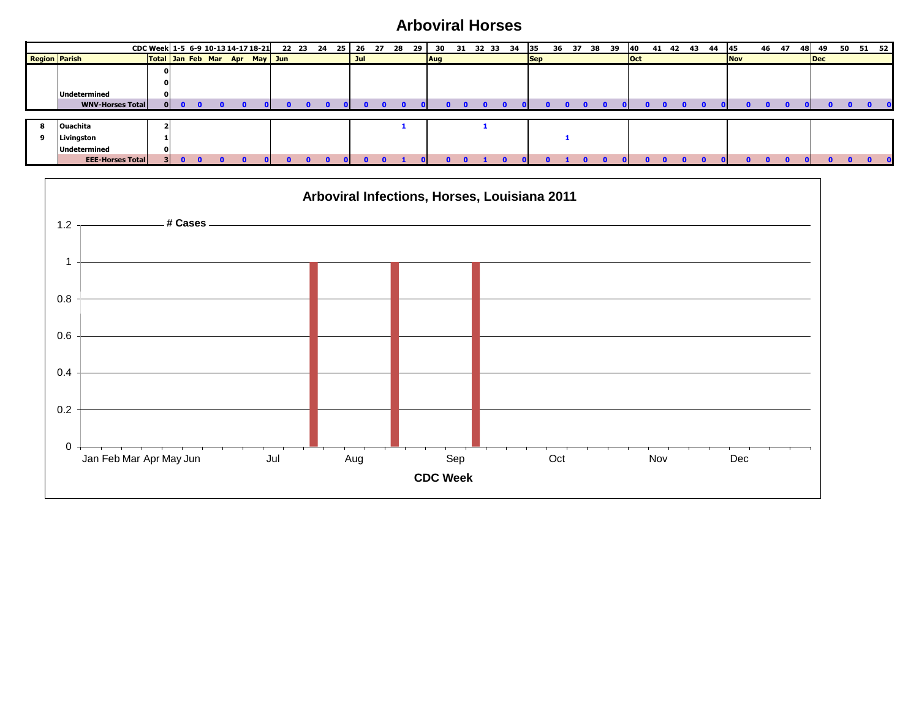### **Arboviral Horses**

|                      |                         | CDC Week 1-5 6-9 10-13 14-17 18-21 22 23 24 25 26 27 28 29 |  |  |  |  |     |  | 30         |  | 31 32 33 34 35 |            | 36 |  | 37 38 39 | <b>40</b>  | 41 42 | 43 | 44 | <b>45</b>  | 46 | 47 | 481            | - 49 | 50 51 52 |  |
|----------------------|-------------------------|------------------------------------------------------------|--|--|--|--|-----|--|------------|--|----------------|------------|----|--|----------|------------|-------|----|----|------------|----|----|----------------|------|----------|--|
| <b>Region Parish</b> |                         | Total Jan Feb Mar Apr May Jun                              |  |  |  |  | Jul |  | <b>Aug</b> |  |                | <b>Sep</b> |    |  |          | <b>Oct</b> |       |    |    | <b>Nov</b> |    |    | $\blacksquare$ |      |          |  |
|                      |                         |                                                            |  |  |  |  |     |  |            |  |                |            |    |  |          |            |       |    |    |            |    |    |                |      |          |  |
|                      |                         |                                                            |  |  |  |  |     |  |            |  |                |            |    |  |          |            |       |    |    |            |    |    |                |      |          |  |
|                      | Undetermined            | ΩI                                                         |  |  |  |  |     |  |            |  |                |            |    |  |          |            |       |    |    |            |    |    |                |      |          |  |
|                      | <b>WNV-Horses Total</b> | 01                                                         |  |  |  |  |     |  |            |  |                |            |    |  |          |            |       |    |    |            |    |    |                |      |          |  |
|                      |                         |                                                            |  |  |  |  |     |  |            |  |                |            |    |  |          |            |       |    |    |            |    |    |                |      |          |  |
|                      | <b>Ouachita</b>         |                                                            |  |  |  |  |     |  |            |  |                |            |    |  |          |            |       |    |    |            |    |    |                |      |          |  |
|                      | Livingston              |                                                            |  |  |  |  |     |  |            |  |                |            |    |  |          |            |       |    |    |            |    |    |                |      |          |  |
|                      | Undetermined            |                                                            |  |  |  |  |     |  |            |  |                |            |    |  |          |            |       |    |    |            |    |    |                |      |          |  |
|                      | <b>EEE-Horses Total</b> |                                                            |  |  |  |  |     |  |            |  |                |            |    |  |          |            |       |    |    |            |    |    |                |      |          |  |